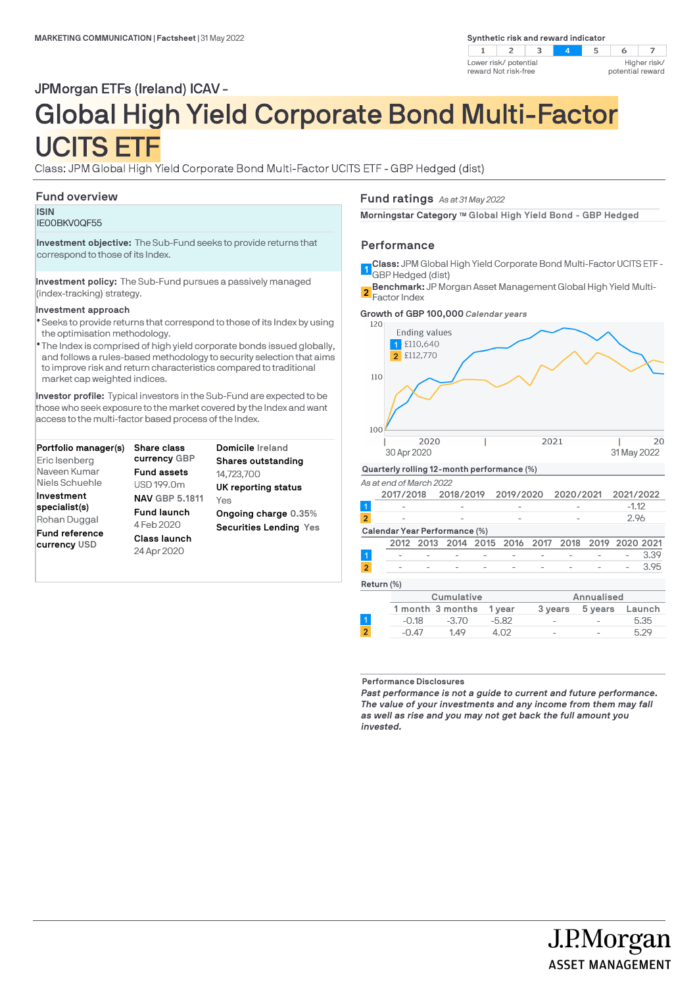**Synthetic risk and reward indicator** 



# JPMorgan ETFs (Ireland) ICAV -

# Global High Yield Corporate Bond Multi-Factor UCITS ETF

Class: JPM Global High Yield Corporate Bond Multi-Factor UCITS ETF - GBP Hedged (dist)

# **Fund overview**

**ISIN** IE00BKV0QF55

**Investment objective:** The Sub-Fund seeks to provide returns that correspond to those of its Index.

**Investment policy:** The Sub-Fund pursues a passively managed (index-tracking) strategy.

## **Investment approach**

- Seeks to provide returns that correspond to those of its Index by using l the optimisation methodology.
- The Index is comprised of high yield corporate bonds issued globally, l and follows a rules-based methodology to security selection that aims to improve risk and return characteristics compared to traditional market cap weighted indices.

**Investor profile:** Typical investors in the Sub-Fund are expected to be those who seek exposure to the market covered by the Index and want access to the multi-factor based process of the Index.

| Portfolio manager(s)<br>Eric Isenberg                                  | <b>Share class</b><br>currency GBP                              | Domicile Ireland<br>Shares outstanding                       |
|------------------------------------------------------------------------|-----------------------------------------------------------------|--------------------------------------------------------------|
| Naveen Kumar<br>Niels Schuehle<br>Investment                           | <b>Fund assets</b><br>USD 199.0m<br><b>NAV GBP 5.1811</b>       | 14,723,700<br>UK reporting status                            |
| specialist(s)<br>Rohan Duggal<br><b>Fund reference</b><br>currency USD | <b>Fund launch</b><br>4 Feb 2020<br>Class launch<br>24 Apr 2020 | Yes<br>Ongoing charge 0.35%<br><b>Securities Lending Yes</b> |

**Fund ratings** *As at 31 May 2022*

**Morningstar Category TM Global High Yield Bond - GBP Hedged**

## **Performance**

- **Class:** JPM Global High Yield Corporate Bond Multi-Factor UCITS ETF -
- 1 GBP Hedged (dist) **Benchmark:** JP Morgan Asset Management Global High Yield Multi-Factor Index **2**



**Performance Disclosures**

*Past performance is not a guide to current and future performance. The value of your investments and any income from them may fall as well as rise and you may not get back the full amount you invested.* 

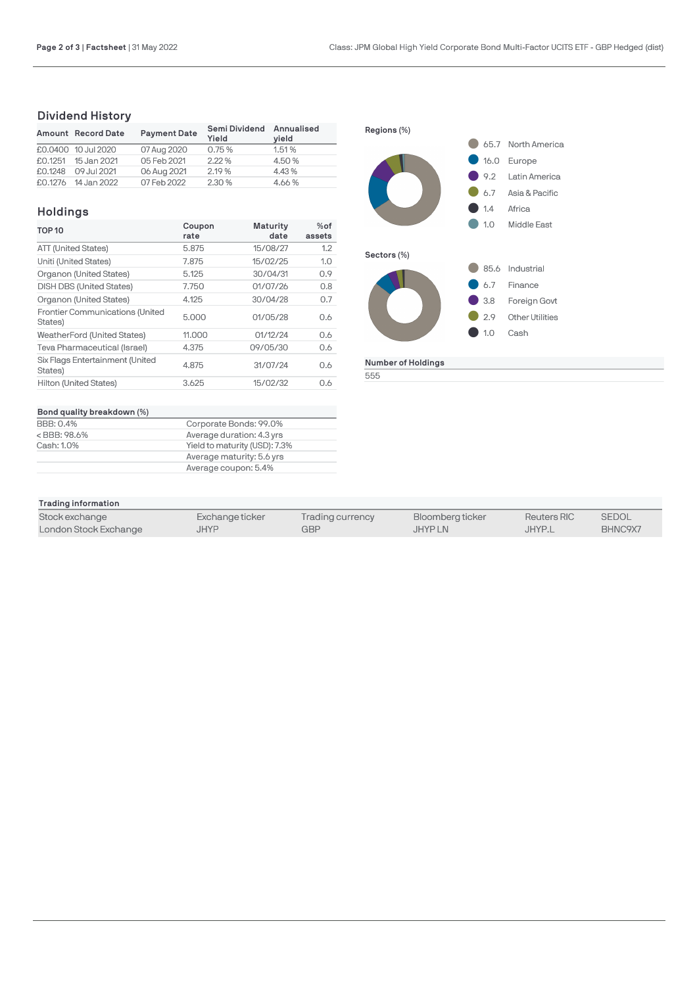# **Dividend History**

|         | Amount Record Date  | <b>Payment Date</b> | Semi Dividend Annualised<br>Yield | vield  |
|---------|---------------------|---------------------|-----------------------------------|--------|
|         | £0.0400 10 Jul 2020 | 07 Aug 2020         | 0.75%                             | 1.51%  |
|         | £0.1251 15 Jan 2021 | 05 Feb 2021         | 2.22%                             | 4.50 % |
| £0.1248 | 09 Jul 2021         | 06 Aug 2021         | 2.19 %                            | 4.43%  |
|         | £0.1276 14 Jan 2022 | 07 Feb 2022         | 2.30 %                            | 4.66%  |

# **Holdings**

| <b>TOP 10</b>                                     | Coupon | <b>Maturity</b> | $%$ of |
|---------------------------------------------------|--------|-----------------|--------|
|                                                   | rate   | date            | assets |
| ATT (United States)                               | 5.875  | 15/08/27        | 1.2    |
| Uniti (United States)                             | 7.875  | 15/02/25        | 1.0    |
| Organon (United States)                           | 5.125  | 30/04/31        | 0.9    |
| <b>DISH DBS (United States)</b>                   | 7.750  | 01/07/26        | 0.8    |
| Organon (United States)                           | 4.125  | 30/04/28        | 0.7    |
| <b>Frontier Communications (United</b><br>States) | 5.000  | 01/05/28        | 0.6    |
| <b>WeatherFord (United States)</b>                | 11.000 | 01/12/24        | 0.6    |
| Teva Pharmaceutical (Israel)                      | 4.375  | 09/05/30        | 0.6    |
| Six Flags Entertainment (United<br>States)        | 4.875  | 31/07/24        | 0.6    |
| Hilton (United States)                            | 3.625  | 15/02/32        | 0.6    |



| Bond quality breakdown (%)                                      |                               |
|-----------------------------------------------------------------|-------------------------------|
| BBB: 0.4%                                                       | Corporate Bonds: 99.0%        |
| <bbb: 98.6%<="" td=""><td>Average duration: 4.3 yrs</td></bbb:> | Average duration: 4.3 yrs     |
| Cash: 1.0%                                                      | Yield to maturity (USD): 7.3% |
|                                                                 | Average maturity: 5.6 yrs     |
|                                                                 | Average coupon: 5.4%          |

| Trading information   |                 |                  |                  |                    |              |
|-----------------------|-----------------|------------------|------------------|--------------------|--------------|
| Stock exchange        | Exchange ticker | Trading currency | Bloomberg ticker | <b>Reuters RIC</b> | <b>SEDOL</b> |
| London Stock Exchange | <b>JHYP</b>     | GBP              | <b>JHYPLN</b>    | JHYP.L             | BHNC9X7      |